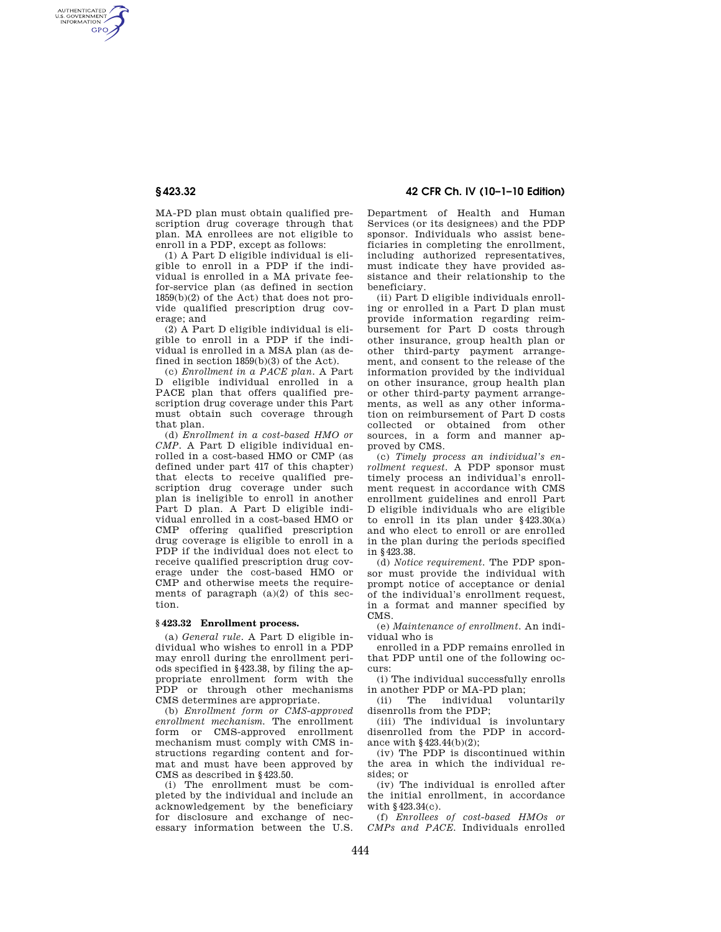AUTHENTICATED<br>U.S. GOVERNMENT<br>INFORMATION **GPO** 

> MA-PD plan must obtain qualified prescription drug coverage through that plan. MA enrollees are not eligible to enroll in a PDP, except as follows:

> (1) A Part D eligible individual is eligible to enroll in a PDP if the individual is enrolled in a MA private feefor-service plan (as defined in section 1859(b)(2) of the Act) that does not provide qualified prescription drug coverage; and

> (2) A Part D eligible individual is eligible to enroll in a PDP if the individual is enrolled in a MSA plan (as defined in section 1859(b)(3) of the Act).

> (c) *Enrollment in a PACE plan.* A Part D eligible individual enrolled in a PACE plan that offers qualified prescription drug coverage under this Part must obtain such coverage through that plan.

> (d) *Enrollment in a cost-based HMO or CMP.* A Part D eligible individual enrolled in a cost-based HMO or CMP (as defined under part 417 of this chapter) that elects to receive qualified prescription drug coverage under such plan is ineligible to enroll in another Part D plan. A Part D eligible individual enrolled in a cost-based HMO or CMP offering qualified prescription drug coverage is eligible to enroll in a PDP if the individual does not elect to receive qualified prescription drug coverage under the cost-based HMO or CMP and otherwise meets the requirements of paragraph (a)(2) of this section.

## **§ 423.32 Enrollment process.**

(a) *General rule.* A Part D eligible individual who wishes to enroll in a PDP may enroll during the enrollment periods specified in §423.38, by filing the appropriate enrollment form with the PDP or through other mechanisms CMS determines are appropriate.

(b) *Enrollment form or CMS-approved enrollment mechanism.* The enrollment form or CMS-approved enrollment mechanism must comply with CMS instructions regarding content and format and must have been approved by CMS as described in §423.50.

(i) The enrollment must be completed by the individual and include an acknowledgement by the beneficiary for disclosure and exchange of necessary information between the U.S.

## **§ 423.32 42 CFR Ch. IV (10–1–10 Edition)**

Department of Health and Human Services (or its designees) and the PDP sponsor. Individuals who assist beneficiaries in completing the enrollment, including authorized representatives, must indicate they have provided assistance and their relationship to the beneficiary.

(ii) Part D eligible individuals enrolling or enrolled in a Part D plan must provide information regarding reimbursement for Part D costs through other insurance, group health plan or other third-party payment arrangement, and consent to the release of the information provided by the individual on other insurance, group health plan or other third-party payment arrangements, as well as any other information on reimbursement of Part D costs collected or obtained from other sources, in a form and manner approved by CMS.

(c) *Timely process an individual's enrollment request.* A PDP sponsor must timely process an individual's enrollment request in accordance with CMS enrollment guidelines and enroll Part D eligible individuals who are eligible to enroll in its plan under §423.30(a) and who elect to enroll or are enrolled in the plan during the periods specified in §423.38.

(d) *Notice requirement.* The PDP sponsor must provide the individual with prompt notice of acceptance or denial of the individual's enrollment request, in a format and manner specified by CMS.

(e) *Maintenance of enrollment.* An individual who is

enrolled in a PDP remains enrolled in that PDP until one of the following occurs:

(i) The individual successfully enrolls in another PDP or MA-PD plan;

 $(i)$  The individual disenrolls from the PDP;

(iii) The individual is involuntary disenrolled from the PDP in accordance with §423.44(b)(2);

(iv) The PDP is discontinued within the area in which the individual resides; or

(iv) The individual is enrolled after the initial enrollment, in accordance with §423.34(c).

(f) *Enrollees of cost-based HMOs or CMPs and PACE.* Individuals enrolled